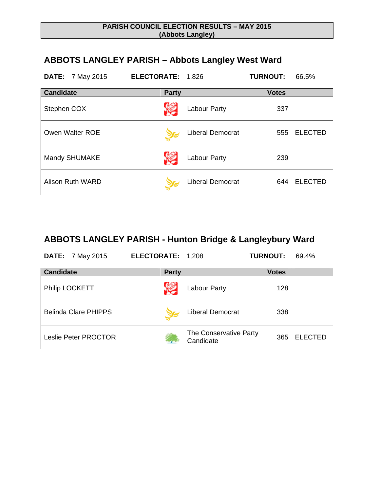### **PARISH COUNCIL ELECTION RESULTS – MAY 2015 (Abbots Langley)**

# **ABBOTS LANGLEY PARISH – Abbots Langley West Ward**

| <b>DATE:</b> 7 May 2015 | ELECTORATE: 1,826       | <b>TURNOUT:</b><br>66.5% |
|-------------------------|-------------------------|--------------------------|
| <b>Candidate</b>        | <b>Party</b>            | <b>Votes</b>             |
| Stephen COX             | Labour Party            | 337                      |
| Owen Walter ROE         | <b>Liberal Democrat</b> | <b>ELECTED</b><br>555    |
| Mandy SHUMAKE           | Labour Party            | 239                      |
| Alison Ruth WARD        | <b>Liberal Democrat</b> | <b>ELECTED</b><br>644    |

## **ABBOTS LANGLEY PARISH - Hunton Bridge & Langleybury Ward**

**DATE:** 7 May 2015 **ELECTORATE:** 1,208 **TURNOUT:** 69.4%

| <b>Candidate</b>            | <b>Party</b>                        | <b>Votes</b>          |
|-----------------------------|-------------------------------------|-----------------------|
| Philip LOCKETT              | <b>Labour Party</b>                 | 128                   |
| <b>Belinda Clare PHIPPS</b> | <b>Liberal Democrat</b>             | 338                   |
| Leslie Peter PROCTOR        | The Conservative Party<br>Candidate | <b>ELECTED</b><br>365 |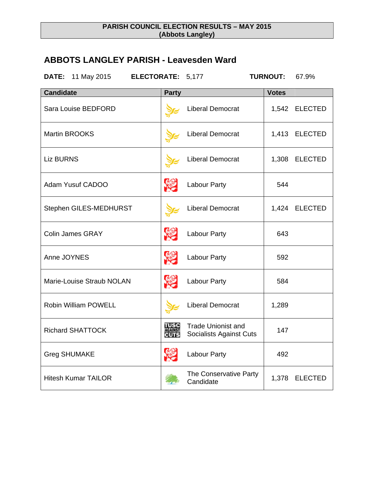### **PARISH COUNCIL ELECTION RESULTS – MAY 2015 (Abbots Langley)**

# **ABBOTS LANGLEY PARISH - Leavesden Ward**

**DATE:** 11 May 2015 **ELECTORATE:** 5,177 **TURNOUT:** 67.9%

| <b>Candidate</b>            | <b>Party</b> |                                                             | <b>Votes</b> |                |
|-----------------------------|--------------|-------------------------------------------------------------|--------------|----------------|
| Sara Louise BEDFORD         |              | <b>Liberal Democrat</b>                                     |              | 1,542 ELECTED  |
| <b>Martin BROOKS</b>        |              | <b>Liberal Democrat</b>                                     |              | 1,413 ELECTED  |
| <b>Liz BURNS</b>            |              | <b>Liberal Democrat</b>                                     |              | 1,308 ELECTED  |
| Adam Yusuf CADOO            | <b>VEI</b>   | <b>Labour Party</b>                                         | 544          |                |
| Stephen GILES-MEDHURST      |              | <b>Liberal Democrat</b>                                     |              | 1,424 ELECTED  |
| <b>Colin James GRAY</b>     | <b>SEP</b>   | <b>Labour Party</b>                                         | 643          |                |
| Anne JOYNES                 | r.           | Labour Party                                                | 592          |                |
| Marie-Louise Straub NOLAN   | r.           | <b>Labour Party</b>                                         | 584          |                |
| <b>Robin William POWELL</b> |              | <b>Liberal Democrat</b>                                     | 1,289        |                |
| <b>Richard SHATTOCK</b>     |              | <b>Trade Unionist and</b><br><b>Socialists Against Cuts</b> | 147          |                |
| <b>Greg SHUMAKE</b>         | <b>SEP</b>   | Labour Party                                                | 492          |                |
| <b>Hitesh Kumar TAILOR</b>  |              | The Conservative Party<br>Candidate                         | 1,378        | <b>ELECTED</b> |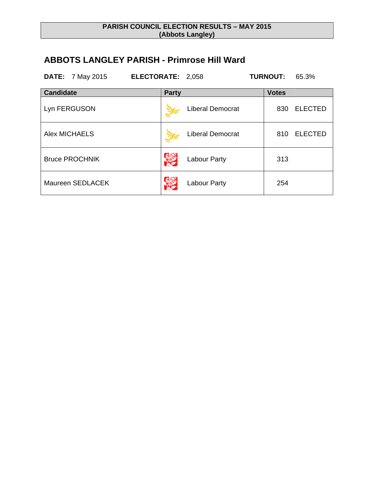### **PARISH COUNCIL ELECTION RESULTS – MAY 2015 (Abbots Langley)**

# **ABBOTS LANGLEY PARISH - Primrose Hill Ward**

**DATE:** 7 May 2015 **ELECTORATE:** 2,058 **TURNOUT:** 65.3%

| <b>Candidate</b>      | <b>Party</b>            | <b>Votes</b>          |
|-----------------------|-------------------------|-----------------------|
| Lyn FERGUSON          | <b>Liberal Democrat</b> | <b>ELECTED</b><br>830 |
| <b>Alex MICHAELS</b>  | <b>Liberal Democrat</b> | <b>ELECTED</b><br>810 |
| <b>Bruce PROCHNIK</b> | Labour Party            | 313                   |
| Maureen SEDLACEK      | Labour Party            | 254                   |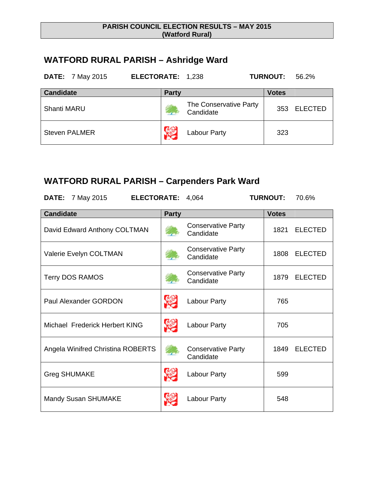### **PARISH COUNCIL ELECTION RESULTS – MAY 2015 (Watford Rural)**

# **WATFORD RURAL PARISH – Ashridge Ward**

| <b>DATE:</b> 7 May 2015 | ELECTORATE: 1,238 |                                     | 56.2%<br><b>TURNOUT:</b> |
|-------------------------|-------------------|-------------------------------------|--------------------------|
| <b>Candidate</b>        | <b>Party</b>      |                                     | <b>Votes</b>             |
| <b>Shanti MARU</b>      |                   | The Conservative Party<br>Candidate | <b>ELECTED</b><br>353    |
| <b>Steven PALMER</b>    |                   | <b>Labour Party</b>                 | 323                      |

# **WATFORD RURAL PARISH – Carpenders Park Ward**

| <b>DATE:</b> 7 May 2015<br>ELECTORATE: 4,064 |              |                                        | <b>TURNOUT:</b> | 70.6%          |
|----------------------------------------------|--------------|----------------------------------------|-----------------|----------------|
| <b>Candidate</b>                             | <b>Party</b> |                                        | <b>Votes</b>    |                |
| David Edward Anthony COLTMAN                 |              | <b>Conservative Party</b><br>Candidate | 1821            | <b>ELECTED</b> |
| Valerie Evelyn COLTMAN                       |              | <b>Conservative Party</b><br>Candidate | 1808            | <b>ELECTED</b> |
| <b>Terry DOS RAMOS</b>                       |              | <b>Conservative Party</b><br>Candidate | 1879            | <b>ELECTED</b> |
| <b>Paul Alexander GORDON</b>                 | \$           | Labour Party                           | 765             |                |
| Michael Frederick Herbert KING               | <b>SEP</b>   | Labour Party                           | 705             |                |
| Angela Winifred Christina ROBERTS            |              | <b>Conservative Party</b><br>Candidate | 1849            | <b>ELECTED</b> |
| <b>Greg SHUMAKE</b>                          |              | Labour Party                           | 599             |                |
| <b>Mandy Susan SHUMAKE</b>                   |              | Labour Party                           | 548             |                |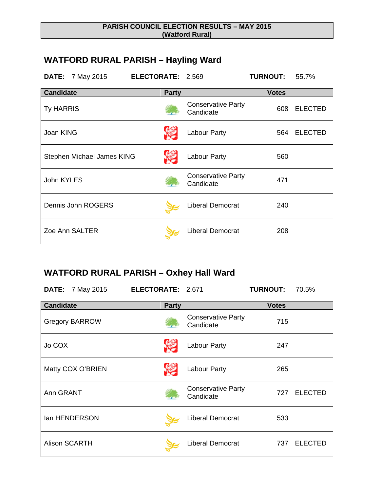#### **PARISH COUNCIL ELECTION RESULTS – MAY 2015 (Watford Rural)**

# **WATFORD RURAL PARISH – Hayling Ward**

**DATE:** 7 May 2015 **ELECTORATE:** 2,569 **TURNOUT:** 55.7%

| <b>Candidate</b>           | <b>Party</b>                           | <b>Votes</b>          |
|----------------------------|----------------------------------------|-----------------------|
| <b>Ty HARRIS</b>           | <b>Conservative Party</b><br>Candidate | <b>ELECTED</b><br>608 |
| Joan KING                  | Labour Party                           | <b>ELECTED</b><br>564 |
| Stephen Michael James KING | Labour Party                           | 560                   |
| John KYLES                 | <b>Conservative Party</b><br>Candidate | 471                   |
| Dennis John ROGERS         | <b>Liberal Democrat</b>                | 240                   |
| Zoe Ann SALTER             | <b>Liberal Democrat</b>                | 208                   |

### **WATFORD RURAL PARISH – Oxhey Hall Ward**

**DATE:** 7 May 2015 **ELECTORATE:** 2,671 **TURNOUT:** 70.5%

| <b>Candidate</b>      | <b>Party</b>                           | <b>Votes</b>          |
|-----------------------|----------------------------------------|-----------------------|
| <b>Gregory BARROW</b> | <b>Conservative Party</b><br>Candidate | 715                   |
| Jo COX                | <b>Labour Party</b>                    | 247                   |
| Matty COX O'BRIEN     | <b>Labour Party</b>                    | 265                   |
| Ann GRANT             | <b>Conservative Party</b><br>Candidate | <b>ELECTED</b><br>727 |
| lan HENDERSON         | <b>Liberal Democrat</b>                | 533                   |
| <b>Alison SCARTH</b>  | <b>Liberal Democrat</b>                | <b>ELECTED</b><br>737 |